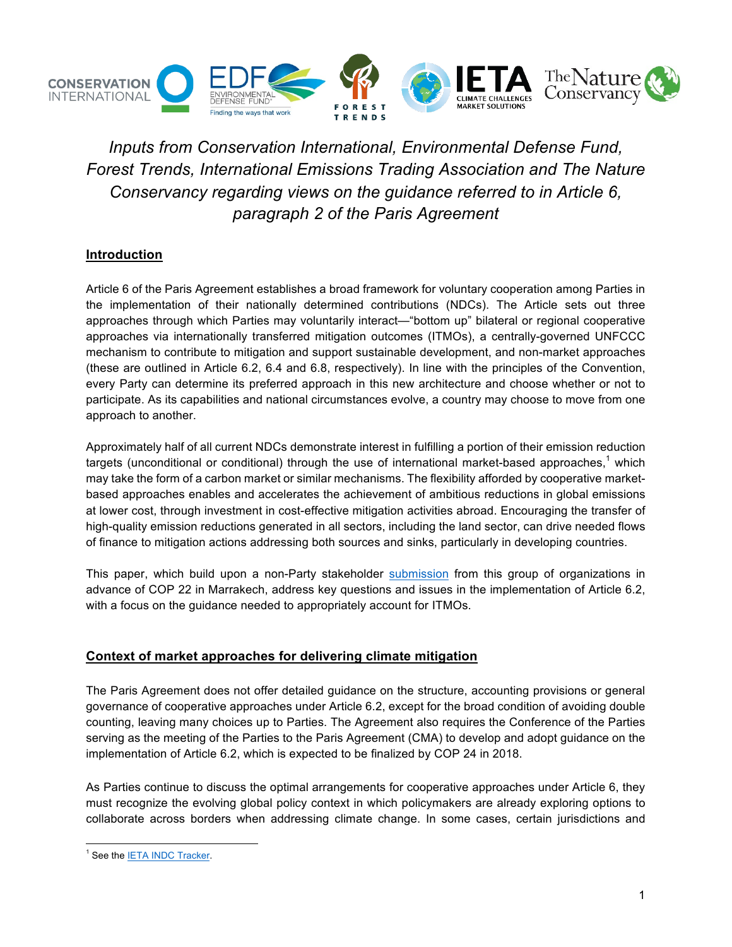

*Inputs from Conservation International, Environmental Defense Fund, Forest Trends, International Emissions Trading Association and The Nature Conservancy regarding views on the guidance referred to in Article 6, paragraph 2 of the Paris Agreement*

## **Introduction**

Article 6 of the Paris Agreement establishes a broad framework for voluntary cooperation among Parties in the implementation of their nationally determined contributions (NDCs). The Article sets out three approaches through which Parties may voluntarily interact—"bottom up" bilateral or regional cooperative approaches via internationally transferred mitigation outcomes (ITMOs), a centrally-governed UNFCCC mechanism to contribute to mitigation and support sustainable development, and non-market approaches (these are outlined in Article 6.2, 6.4 and 6.8, respectively). In line with the principles of the Convention, every Party can determine its preferred approach in this new architecture and choose whether or not to participate. As its capabilities and national circumstances evolve, a country may choose to move from one approach to another.

Approximately half of all current NDCs demonstrate interest in fulfilling a portion of their emission reduction targets (unconditional or conditional) through the use of international market-based approaches,<sup>1</sup> which may take the form of a carbon market or similar mechanisms. The flexibility afforded by cooperative marketbased approaches enables and accelerates the achievement of ambitious reductions in global emissions at lower cost, through investment in cost-effective mitigation activities abroad. Encouraging the transfer of high-quality emission reductions generated in all sectors, including the land sector, can drive needed flows of finance to mitigation actions addressing both sources and sinks, particularly in developing countries.

This paper, which build upon a non-Party stakeholder submission from this group of organizations in advance of COP 22 in Marrakech, address key questions and issues in the implementation of Article 6.2, with a focus on the guidance needed to appropriately account for ITMOs.

## **Context of market approaches for delivering climate mitigation**

The Paris Agreement does not offer detailed guidance on the structure, accounting provisions or general governance of cooperative approaches under Article 6.2, except for the broad condition of avoiding double counting, leaving many choices up to Parties. The Agreement also requires the Conference of the Parties serving as the meeting of the Parties to the Paris Agreement (CMA) to develop and adopt guidance on the implementation of Article 6.2, which is expected to be finalized by COP 24 in 2018.

As Parties continue to discuss the optimal arrangements for cooperative approaches under Article 6, they must recognize the evolving global policy context in which policymakers are already exploring options to collaborate across borders when addressing climate change. In some cases, certain jurisdictions and

<sup>&</sup>lt;sup>1</sup> See the IETA INDC Tracker.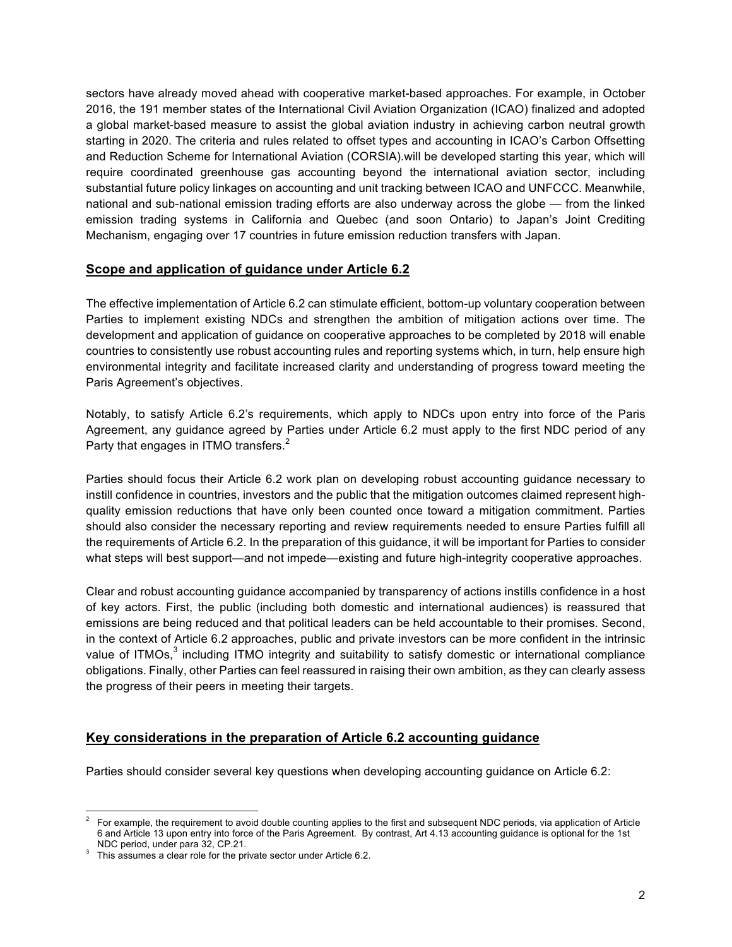sectors have already moved ahead with cooperative market-based approaches. For example, in October 2016, the 191 member states of the International Civil Aviation Organization (ICAO) finalized and adopted a global market-based measure to assist the global aviation industry in achieving carbon neutral growth starting in 2020. The criteria and rules related to offset types and accounting in ICAO's Carbon Offsetting and Reduction Scheme for International Aviation (CORSIA).will be developed starting this year, which will require coordinated greenhouse gas accounting beyond the international aviation sector, including substantial future policy linkages on accounting and unit tracking between ICAO and UNFCCC. Meanwhile, national and sub-national emission trading efforts are also underway across the globe — from the linked emission trading systems in California and Quebec (and soon Ontario) to Japan's Joint Crediting Mechanism, engaging over 17 countries in future emission reduction transfers with Japan.

## **Scope and application of guidance under Article 6.2**

The effective implementation of Article 6.2 can stimulate efficient, bottom-up voluntary cooperation between Parties to implement existing NDCs and strengthen the ambition of mitigation actions over time. The development and application of guidance on cooperative approaches to be completed by 2018 will enable countries to consistently use robust accounting rules and reporting systems which, in turn, help ensure high environmental integrity and facilitate increased clarity and understanding of progress toward meeting the Paris Agreement's objectives.

Notably, to satisfy Article 6.2's requirements, which apply to NDCs upon entry into force of the Paris Agreement, any guidance agreed by Parties under Article 6.2 must apply to the first NDC period of any Party that engages in ITMO transfers. $^{\text{2}}$ 

Parties should focus their Article 6.2 work plan on developing robust accounting guidance necessary to instill confidence in countries, investors and the public that the mitigation outcomes claimed represent highquality emission reductions that have only been counted once toward a mitigation commitment. Parties should also consider the necessary reporting and review requirements needed to ensure Parties fulfill all the requirements of Article 6.2. In the preparation of this guidance, it will be important for Parties to consider what steps will best support—and not impede—existing and future high-integrity cooperative approaches.

Clear and robust accounting guidance accompanied by transparency of actions instills confidence in a host of key actors. First, the public (including both domestic and international audiences) is reassured that emissions are being reduced and that political leaders can be held accountable to their promises. Second, in the context of Article 6.2 approaches, public and private investors can be more confident in the intrinsic value of ITMOs,<sup>3</sup> including ITMO integrity and suitability to satisfy domestic or international compliance obligations. Finally, other Parties can feel reassured in raising their own ambition, as they can clearly assess the progress of their peers in meeting their targets.

## **Key considerations in the preparation of Article 6.2 accounting guidance**

Parties should consider several key questions when developing accounting guidance on Article 6.2:

 <sup>2</sup> For example, the requirement to avoid double counting applies to the first and subsequent NDC periods, via application of Article 6 and Article 13 upon entry into force of the Paris Agreement. By contrast, Art 4.13 accounting guidance is optional for the 1st

<sup>&</sup>lt;sup>3</sup> This assumes a clear role for the private sector under Article 6.2.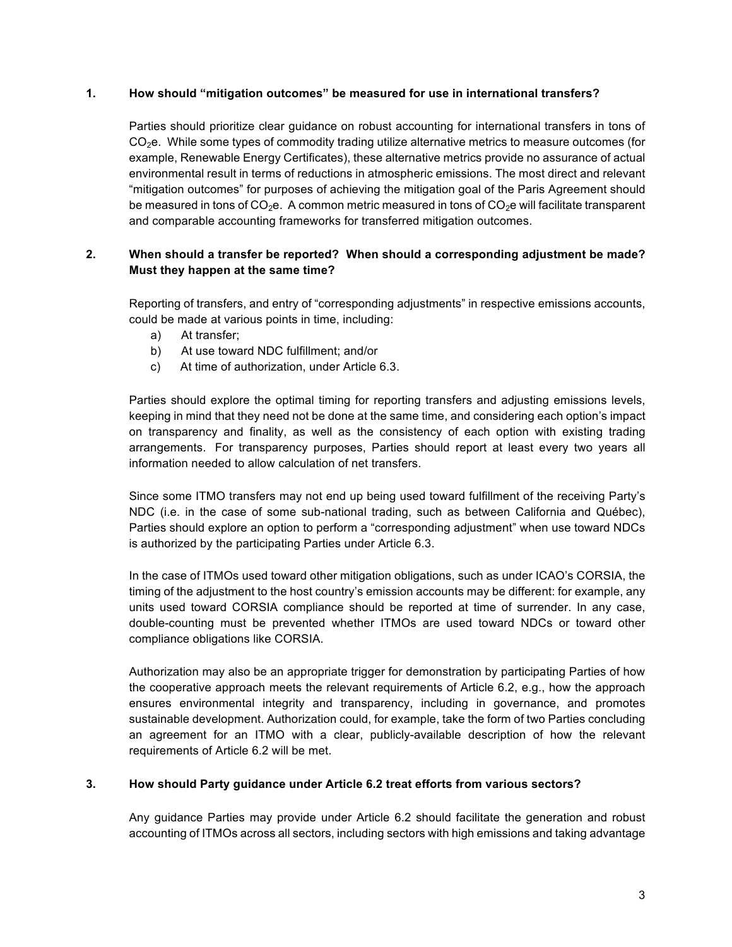#### **1. How should "mitigation outcomes" be measured for use in international transfers?**

Parties should prioritize clear guidance on robust accounting for international transfers in tons of  $CO<sub>2</sub>e$ . While some types of commodity trading utilize alternative metrics to measure outcomes (for example, Renewable Energy Certificates), these alternative metrics provide no assurance of actual environmental result in terms of reductions in atmospheric emissions. The most direct and relevant "mitigation outcomes" for purposes of achieving the mitigation goal of the Paris Agreement should be measured in tons of  $CO<sub>2</sub>e$ . A common metric measured in tons of  $CO<sub>2</sub>e$  will facilitate transparent and comparable accounting frameworks for transferred mitigation outcomes.

### **2. When should a transfer be reported? When should a corresponding adjustment be made? Must they happen at the same time?**

Reporting of transfers, and entry of "corresponding adjustments" in respective emissions accounts, could be made at various points in time, including:

- a) At transfer;
- b) At use toward NDC fulfillment; and/or
- c) At time of authorization, under Article 6.3.

Parties should explore the optimal timing for reporting transfers and adjusting emissions levels, keeping in mind that they need not be done at the same time, and considering each option's impact on transparency and finality, as well as the consistency of each option with existing trading arrangements. For transparency purposes, Parties should report at least every two years all information needed to allow calculation of net transfers.

Since some ITMO transfers may not end up being used toward fulfillment of the receiving Party's NDC (i.e. in the case of some sub-national trading, such as between California and Québec), Parties should explore an option to perform a "corresponding adjustment" when use toward NDCs is authorized by the participating Parties under Article 6.3.

In the case of ITMOs used toward other mitigation obligations, such as under ICAO's CORSIA, the timing of the adjustment to the host country's emission accounts may be different: for example, any units used toward CORSIA compliance should be reported at time of surrender. In any case, double-counting must be prevented whether ITMOs are used toward NDCs or toward other compliance obligations like CORSIA.

Authorization may also be an appropriate trigger for demonstration by participating Parties of how the cooperative approach meets the relevant requirements of Article 6.2, e.g., how the approach ensures environmental integrity and transparency, including in governance, and promotes sustainable development. Authorization could, for example, take the form of two Parties concluding an agreement for an ITMO with a clear, publicly-available description of how the relevant requirements of Article 6.2 will be met.

#### **3. How should Party guidance under Article 6.2 treat efforts from various sectors?**

Any guidance Parties may provide under Article 6.2 should facilitate the generation and robust accounting of ITMOs across all sectors, including sectors with high emissions and taking advantage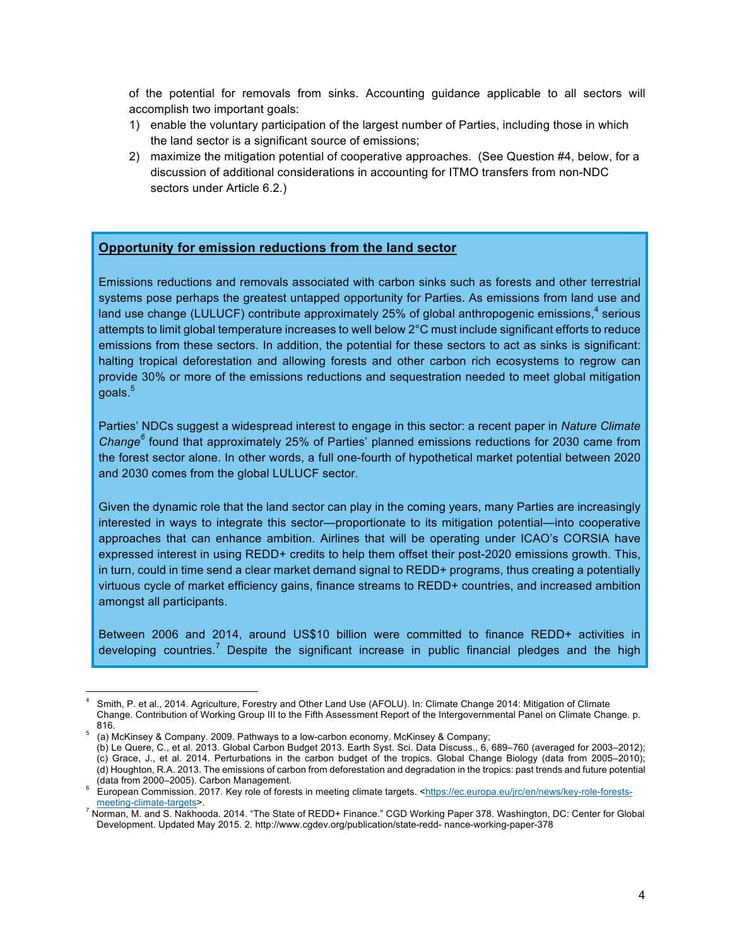of the potential for removals from sinks. Accounting guidance applicable to all sectors will accomplish two important goals:

- 1) enable the voluntary participation of the largest number of Parties, including those in which the land sector is a significant source of emissions;
- 2) maximize the mitigation potential of cooperative approaches. (See Question #4, below, for a discussion of additional considerations in accounting for ITMO transfers from non-NDC sectors under Article 6.2.)

### **Opportunity for emission reductions from the land sector**

Emissions reductions and removals associated with carbon sinks such as forests and other terrestrial systems pose perhaps the greatest untapped opportunity for Parties. As emissions from land use and land use change (LULUCF) contribute approximately 25% of global anthropogenic emissions,<sup>4</sup> serious attempts to limit global temperature increases to well below 2°C must include significant efforts to reduce emissions from these sectors. In addition, the potential for these sectors to act as sinks is significant: halting tropical deforestation and allowing forests and other carbon rich ecosystems to regrow can provide 30% or more of the emissions reductions and sequestration needed to meet global mitigation goals.<sup>5</sup>

Parties' NDCs suggest a widespread interest to engage in this sector: a recent paper in *Nature Climate Change<sup>6</sup>* found that approximately 25% of Parties' planned emissions reductions for 2030 came from the forest sector alone. In other words, a full one-fourth of hypothetical market potential between 2020 and 2030 comes from the global LULUCF sector.

Given the dynamic role that the land sector can play in the coming years, many Parties are increasingly interested in ways to integrate this sector—proportionate to its mitigation potential—into cooperative approaches that can enhance ambition. Airlines that will be operating under ICAO's CORSIA have expressed interest in using REDD+ credits to help them offset their post-2020 emissions growth. This, in turn, could in time send a clear market demand signal to REDD+ programs, thus creating a potentially virtuous cycle of market efficiency gains, finance streams to REDD+ countries, and increased ambition amongst all participants.

Between 2006 and 2014, around US\$10 billion were committed to finance REDD+ activities in developing countries.<sup>7</sup> Despite the significant increase in public financial pledges and the high

 $\frac{1}{4}$  Smith, P. et al., 2014. Agriculture, Forestry and Other Land Use (AFOLU). In: Climate Change 2014: Mitigation of Climate Change. Contribution of Working Group III to the Fifth Assessment Report of the Intergovernmental Panel on Climate Change. p. 816. <sup>5</sup> (a) McKinsey & Company. 2009. Pathways to a low-carbon economy. McKinsey & Company;

<sup>(</sup>b) Le Quere, C., et al. 2013. Global Carbon Budget 2013. Earth Syst. Sci. Data Discuss., 6, 689–760 (averaged for 2003–2012); (c) Grace, J., et al. 2014. Perturbations in the carbon budget of the tropics. Global Change Biology (data from 2005–2010); (d) Houghton, R.A. 2013. The emissions of carbon from deforestation and degradation in the tropics: past trends and future potential

European Commission. 2017. Key role of forests in meeting climate targets. <https://ec.europa.eu/jrc/en/news/key-role-forests-<br>meeting-climate-targets>.

<sup>&</sup>lt;sup>7</sup> Norman, M. and S. Nakhooda. 2014. "The State of REDD+ Finance." CGD Working Paper 378. Washington, DC: Center for Global Development. Updated May 2015. 2. http://www.cgdev.org/publication/state-redd- nance-working-paper-378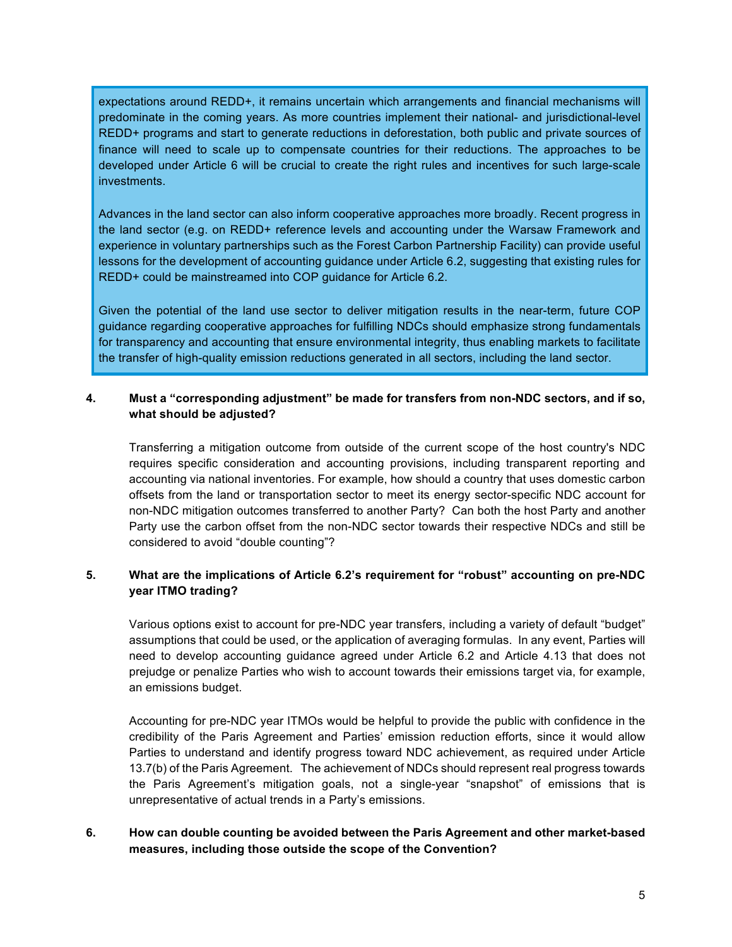expectations around REDD+, it remains uncertain which arrangements and financial mechanisms will predominate in the coming years. As more countries implement their national- and jurisdictional-level REDD+ programs and start to generate reductions in deforestation, both public and private sources of finance will need to scale up to compensate countries for their reductions. The approaches to be developed under Article 6 will be crucial to create the right rules and incentives for such large-scale **investments** 

Advances in the land sector can also inform cooperative approaches more broadly. Recent progress in the land sector (e.g. on REDD+ reference levels and accounting under the Warsaw Framework and experience in voluntary partnerships such as the Forest Carbon Partnership Facility) can provide useful lessons for the development of accounting guidance under Article 6.2, suggesting that existing rules for REDD+ could be mainstreamed into COP guidance for Article 6.2.

Given the potential of the land use sector to deliver mitigation results in the near-term, future COP guidance regarding cooperative approaches for fulfilling NDCs should emphasize strong fundamentals for transparency and accounting that ensure environmental integrity, thus enabling markets to facilitate the transfer of high-quality emission reductions generated in all sectors, including the land sector.

#### **4. Must a "corresponding adjustment" be made for transfers from non-NDC sectors, and if so, what should be adjusted?**

Transferring a mitigation outcome from outside of the current scope of the host country's NDC requires specific consideration and accounting provisions, including transparent reporting and accounting via national inventories. For example, how should a country that uses domestic carbon offsets from the land or transportation sector to meet its energy sector-specific NDC account for non-NDC mitigation outcomes transferred to another Party? Can both the host Party and another Party use the carbon offset from the non-NDC sector towards their respective NDCs and still be considered to avoid "double counting"?

### **5. What are the implications of Article 6.2's requirement for "robust" accounting on pre-NDC year ITMO trading?**

Various options exist to account for pre-NDC year transfers, including a variety of default "budget" assumptions that could be used, or the application of averaging formulas. In any event, Parties will need to develop accounting guidance agreed under Article 6.2 and Article 4.13 that does not prejudge or penalize Parties who wish to account towards their emissions target via, for example, an emissions budget.

Accounting for pre-NDC year ITMOs would be helpful to provide the public with confidence in the credibility of the Paris Agreement and Parties' emission reduction efforts, since it would allow Parties to understand and identify progress toward NDC achievement, as required under Article 13.7(b) of the Paris Agreement. The achievement of NDCs should represent real progress towards the Paris Agreement's mitigation goals, not a single-year "snapshot" of emissions that is unrepresentative of actual trends in a Party's emissions.

### **6. How can double counting be avoided between the Paris Agreement and other market-based measures, including those outside the scope of the Convention?**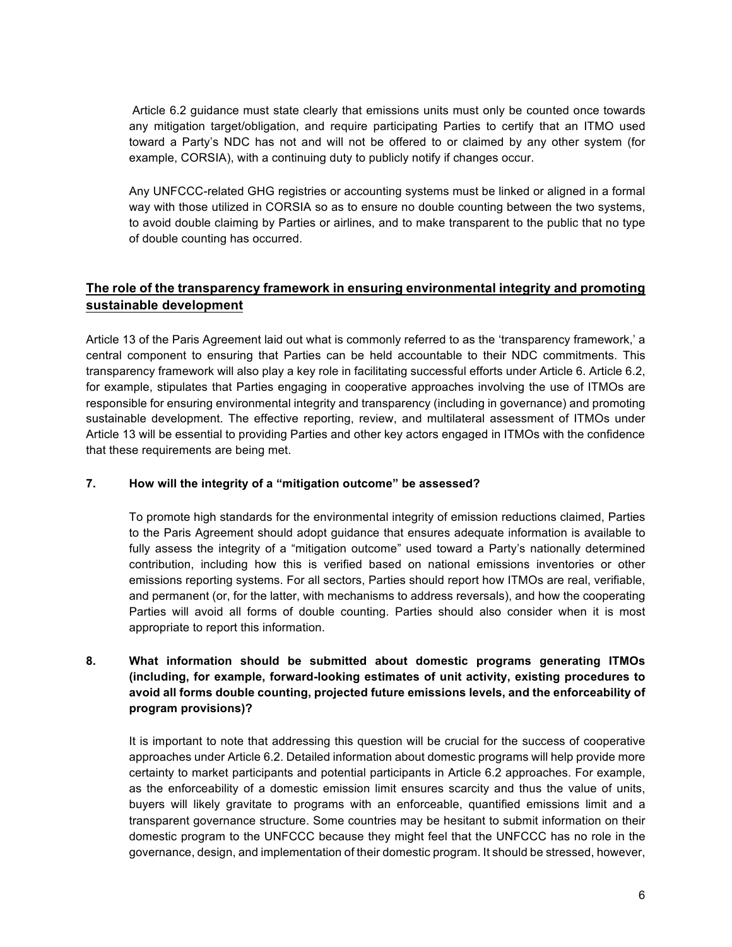Article 6.2 guidance must state clearly that emissions units must only be counted once towards any mitigation target/obligation, and require participating Parties to certify that an ITMO used toward a Party's NDC has not and will not be offered to or claimed by any other system (for example, CORSIA), with a continuing duty to publicly notify if changes occur.

Any UNFCCC-related GHG registries or accounting systems must be linked or aligned in a formal way with those utilized in CORSIA so as to ensure no double counting between the two systems, to avoid double claiming by Parties or airlines, and to make transparent to the public that no type of double counting has occurred.

# **The role of the transparency framework in ensuring environmental integrity and promoting sustainable development**

Article 13 of the Paris Agreement laid out what is commonly referred to as the 'transparency framework,' a central component to ensuring that Parties can be held accountable to their NDC commitments. This transparency framework will also play a key role in facilitating successful efforts under Article 6. Article 6.2, for example, stipulates that Parties engaging in cooperative approaches involving the use of ITMOs are responsible for ensuring environmental integrity and transparency (including in governance) and promoting sustainable development. The effective reporting, review, and multilateral assessment of ITMOs under Article 13 will be essential to providing Parties and other key actors engaged in ITMOs with the confidence that these requirements are being met.

### **7. How will the integrity of a "mitigation outcome" be assessed?**

To promote high standards for the environmental integrity of emission reductions claimed, Parties to the Paris Agreement should adopt guidance that ensures adequate information is available to fully assess the integrity of a "mitigation outcome" used toward a Party's nationally determined contribution, including how this is verified based on national emissions inventories or other emissions reporting systems. For all sectors, Parties should report how ITMOs are real, verifiable, and permanent (or, for the latter, with mechanisms to address reversals), and how the cooperating Parties will avoid all forms of double counting. Parties should also consider when it is most appropriate to report this information.

### **8. What information should be submitted about domestic programs generating ITMOs (including, for example, forward-looking estimates of unit activity, existing procedures to avoid all forms double counting, projected future emissions levels, and the enforceability of program provisions)?**

It is important to note that addressing this question will be crucial for the success of cooperative approaches under Article 6.2. Detailed information about domestic programs will help provide more certainty to market participants and potential participants in Article 6.2 approaches. For example, as the enforceability of a domestic emission limit ensures scarcity and thus the value of units, buyers will likely gravitate to programs with an enforceable, quantified emissions limit and a transparent governance structure. Some countries may be hesitant to submit information on their domestic program to the UNFCCC because they might feel that the UNFCCC has no role in the governance, design, and implementation of their domestic program. It should be stressed, however,